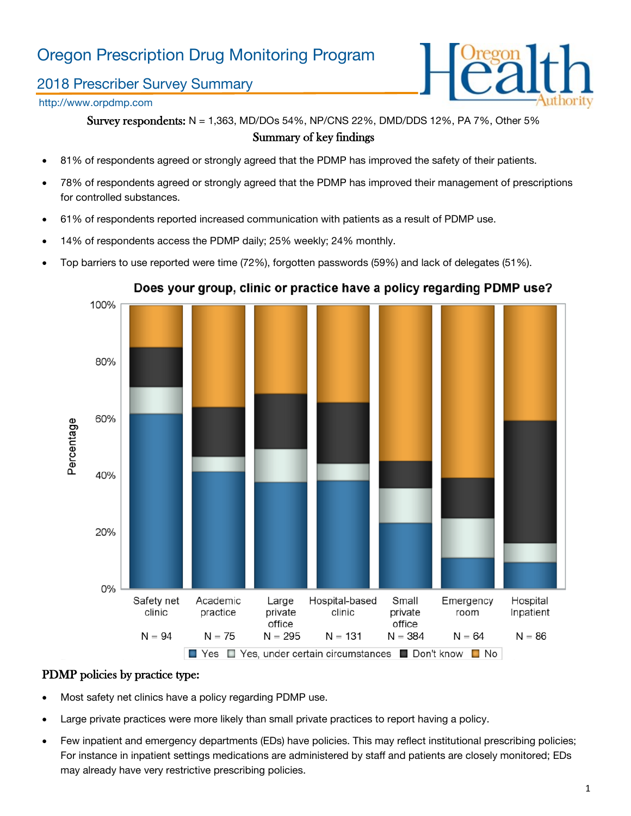# Oregon Prescription Drug Monitoring Program

## 2018 Prescriber Survey Summary

## http://www.orpdmp.com



Survey respondents: N = 1,363, MD/DOs 54%, NP/CNS 22%, DMD/DDS 12%, PA 7%, Other 5% Summary of key findings

- 81% of respondents agreed or strongly agreed that the PDMP has improved the safety of their patients.
- 78% of respondents agreed or strongly agreed that the PDMP has improved their management of prescriptions for controlled substances.
- 61% of respondents reported increased communication with patients as a result of PDMP use.
- 14% of respondents access the PDMP daily; 25% weekly; 24% monthly.
- Top barriers to use reported were time (72%), forgotten passwords (59%) and lack of delegates (51%).



### Does your group, clinic or practice have a policy regarding PDMP use?

### PDMP policies by practice type:

- Most safety net clinics have a policy regarding PDMP use.
- Large private practices were more likely than small private practices to report having a policy.
- Few inpatient and emergency departments (EDs) have policies. This may reflect institutional prescribing policies; For instance in inpatient settings medications are administered by staff and patients are closely monitored; EDs may already have very restrictive prescribing policies.